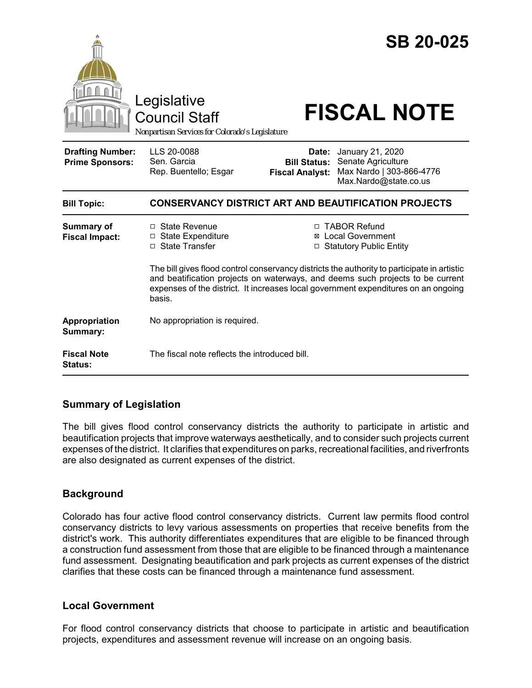

# **Summary of Legislation**

The bill gives flood control conservancy districts the authority to participate in artistic and beautification projects that improve waterways aesthetically, and to consider such projects current expenses of the district. It clarifies that expenditures on parks, recreational facilities, and riverfronts are also designated as current expenses of the district.

#### **Background**

Colorado has four active flood control conservancy districts. Current law permits flood control conservancy districts to levy various assessments on properties that receive benefits from the district's work. This authority differentiates expenditures that are eligible to be financed through a construction fund assessment from those that are eligible to be financed through a maintenance fund assessment. Designating beautification and park projects as current expenses of the district clarifies that these costs can be financed through a maintenance fund assessment.

#### **Local Government**

For flood control conservancy districts that choose to participate in artistic and beautification projects, expenditures and assessment revenue will increase on an ongoing basis.